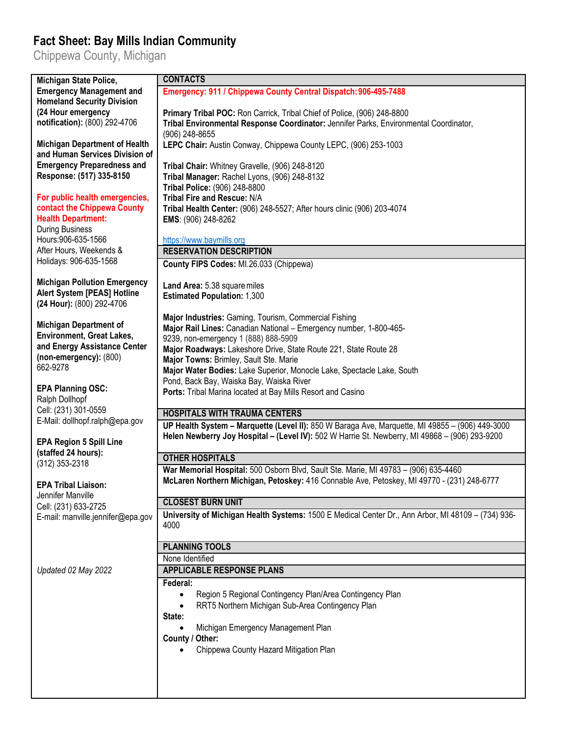## **Fact Sheet: Bay Mills Indian Community**

Chippewa County, Michigan

| Michigan State Police,                                                 | <b>CONTACTS</b>                                                                                                                                                                                   |
|------------------------------------------------------------------------|---------------------------------------------------------------------------------------------------------------------------------------------------------------------------------------------------|
| <b>Emergency Management and</b>                                        | Emergency: 911 / Chippewa County Central Dispatch: 906-495-7488                                                                                                                                   |
| <b>Homeland Security Division</b>                                      |                                                                                                                                                                                                   |
| (24 Hour emergency                                                     | Primary Tribal POC: Ron Carrick, Tribal Chief of Police, (906) 248-8800                                                                                                                           |
| notification): (800) 292-4706                                          | Tribal Environmental Response Coordinator: Jennifer Parks, Environmental Coordinator,                                                                                                             |
|                                                                        | (906) 248-8655                                                                                                                                                                                    |
| <b>Michigan Department of Health</b><br>and Human Services Division of | LEPC Chair: Austin Conway, Chippewa County LEPC, (906) 253-1003                                                                                                                                   |
| <b>Emergency Preparedness and</b>                                      | Tribal Chair: Whitney Gravelle, (906) 248-8120                                                                                                                                                    |
| Response: (517) 335-8150                                               | Tribal Manager: Rachel Lyons, (906) 248-8132                                                                                                                                                      |
|                                                                        | Tribal Police: (906) 248-8800                                                                                                                                                                     |
| For public health emergencies,                                         | Tribal Fire and Rescue: N/A                                                                                                                                                                       |
| contact the Chippewa County                                            | Tribal Health Center: (906) 248-5527; After hours clinic (906) 203-4074                                                                                                                           |
| <b>Health Department:</b>                                              | EMS: (906) 248-8262                                                                                                                                                                               |
| <b>During Business</b><br>Hours: 906-635-1566                          |                                                                                                                                                                                                   |
| After Hours, Weekends &                                                | https://www.baymills.org<br><b>RESERVATION DESCRIPTION</b>                                                                                                                                        |
| Holidays: 906-635-1568                                                 | County FIPS Codes: MI.26.033 (Chippewa)                                                                                                                                                           |
|                                                                        |                                                                                                                                                                                                   |
| <b>Michigan Pollution Emergency</b>                                    | Land Area: 5.38 square miles                                                                                                                                                                      |
| Alert System [PEAS] Hotline                                            | <b>Estimated Population: 1,300</b>                                                                                                                                                                |
| (24 Hour): (800) 292-4706                                              |                                                                                                                                                                                                   |
| <b>Michigan Department of</b>                                          | Major Industries: Gaming, Tourism, Commercial Fishing                                                                                                                                             |
| <b>Environment, Great Lakes,</b>                                       | Major Rail Lines: Canadian National - Emergency number, 1-800-465-                                                                                                                                |
| and Energy Assistance Center                                           | 9239, non-emergency 1 (888) 888-5909<br>Major Roadways: Lakeshore Drive, State Route 221, State Route 28                                                                                          |
| (non-emergency): (800)                                                 | Major Towns: Brimley, Sault Ste. Marie                                                                                                                                                            |
| 662-9278                                                               | Major Water Bodies: Lake Superior, Monocle Lake, Spectacle Lake, South                                                                                                                            |
|                                                                        | Pond, Back Bay, Waiska Bay, Waiska River                                                                                                                                                          |
| <b>EPA Planning OSC:</b>                                               | Ports: Tribal Marina located at Bay Mills Resort and Casino                                                                                                                                       |
| Ralph Dollhopf<br>Cell: (231) 301-0559                                 |                                                                                                                                                                                                   |
| E-Mail: dollhopf.ralph@epa.gov                                         | <b>HOSPITALS WITH TRAUMA CENTERS</b>                                                                                                                                                              |
|                                                                        | UP Health System - Marquette (Level II): 850 W Baraga Ave, Marquette, MI 49855 - (906) 449-3000<br>Helen Newberry Joy Hospital - (Level IV): 502 W Harrie St. Newberry, MI 49868 - (906) 293-9200 |
| <b>EPA Region 5 Spill Line</b>                                         |                                                                                                                                                                                                   |
| (staffed 24 hours):                                                    | <b>OTHER HOSPITALS</b>                                                                                                                                                                            |
| (312) 353-2318                                                         | War Memorial Hospital: 500 Osborn Blvd, Sault Ste. Marie, MI 49783 - (906) 635-4460                                                                                                               |
| <b>EPA Tribal Liaison:</b>                                             | McLaren Northern Michigan, Petoskey: 416 Connable Ave, Petoskey, MI 49770 - (231) 248-6777                                                                                                        |
| Jennifer Manville                                                      |                                                                                                                                                                                                   |
| Cell: (231) 633-2725                                                   | <b>CLOSEST BURN UNIT</b>                                                                                                                                                                          |
| E-mail: manville.jennifer@epa.gov                                      | University of Michigan Health Systems: 1500 E Medical Center Dr., Ann Arbor, MI 48109 - (734) 936-                                                                                                |
|                                                                        | 4000                                                                                                                                                                                              |
|                                                                        | <b>PLANNING TOOLS</b>                                                                                                                                                                             |
|                                                                        | None Identified                                                                                                                                                                                   |
| Updated 02 May 2022                                                    | <b>APPLICABLE RESPONSE PLANS</b>                                                                                                                                                                  |
|                                                                        | Federal:                                                                                                                                                                                          |
|                                                                        | Region 5 Regional Contingency Plan/Area Contingency Plan<br>$\bullet$                                                                                                                             |
|                                                                        | RRT5 Northern Michigan Sub-Area Contingency Plan                                                                                                                                                  |
|                                                                        | State:                                                                                                                                                                                            |
|                                                                        | Michigan Emergency Management Plan                                                                                                                                                                |
|                                                                        | County / Other:                                                                                                                                                                                   |
|                                                                        | Chippewa County Hazard Mitigation Plan                                                                                                                                                            |
|                                                                        |                                                                                                                                                                                                   |
|                                                                        |                                                                                                                                                                                                   |
|                                                                        |                                                                                                                                                                                                   |